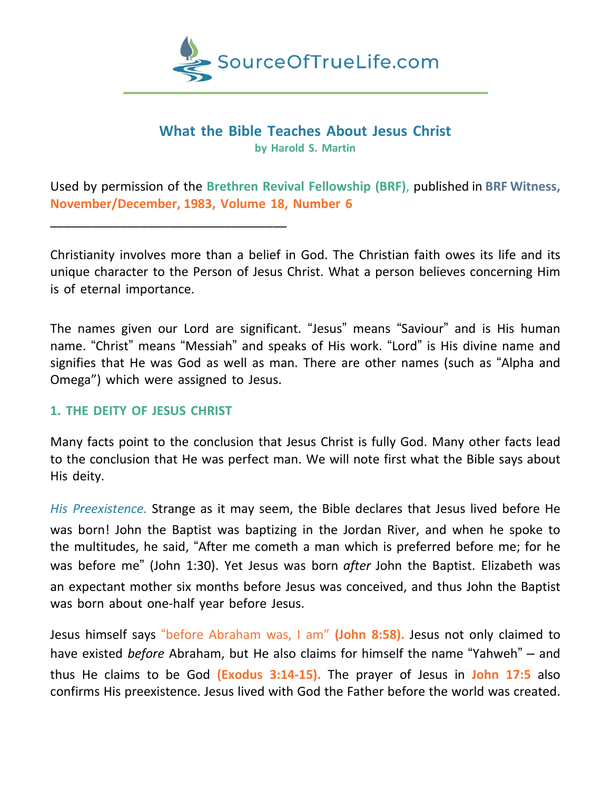

### **What the Bible Teaches About Jesus Christ by Harold S. Martin**

Used by permission of the **Brethren Revival Fellowship (BRF)**, published in **BRF Witness, November/December, 1983, Volume 18, Number 6**

Christianity involves more than a belief in God. The Christian faith owes its life and its unique character to the Person of Jesus Christ. What a person believes concerning Him is of eternal importance.

The names given our Lord are significant. "Jesus" means "Saviour" and is His human name. "Christ" means "Messiah" and speaks of His work. "Lord" is His divine name and signifies that He was God as well as man. There are other names (such as "Alpha and Omega") which were assigned to Jesus.

#### **1. THE DEITY OF JESUS CHRIST**

\_\_\_\_\_\_\_\_\_\_\_\_\_\_\_\_\_\_\_\_\_\_\_\_\_\_\_\_\_\_\_\_\_\_

Many facts point to the conclusion that Jesus Christ is fully God. Many other facts lead to the conclusion that He was perfect man. We will note first what the Bible says about His deity.

*His Preexistence.* Strange as it may seem, the Bible declares that Jesus lived before He was born! John the Baptist was baptizing in the Jordan River, and when he spoke to the multitudes, he said, "After me cometh a man which is preferred before me; for he was before me" (John 1:30). Yet Jesus was born *after* John the Baptist. Elizabeth was an expectant mother six months before Jesus was conceived, and thus John the Baptist was born about one-half year before Jesus.

Jesus himself says "before Abraham was, I am" **(John 8:58).** Jesus not only claimed to have existed *before* Abraham, but He also claims for himself the name "Yahweh" – and thus He claims to be God **(Exodus 3:14-15).** The prayer of Jesus in **John 17:5** also confirms His preexistence. Jesus lived with God the Father before the world was created.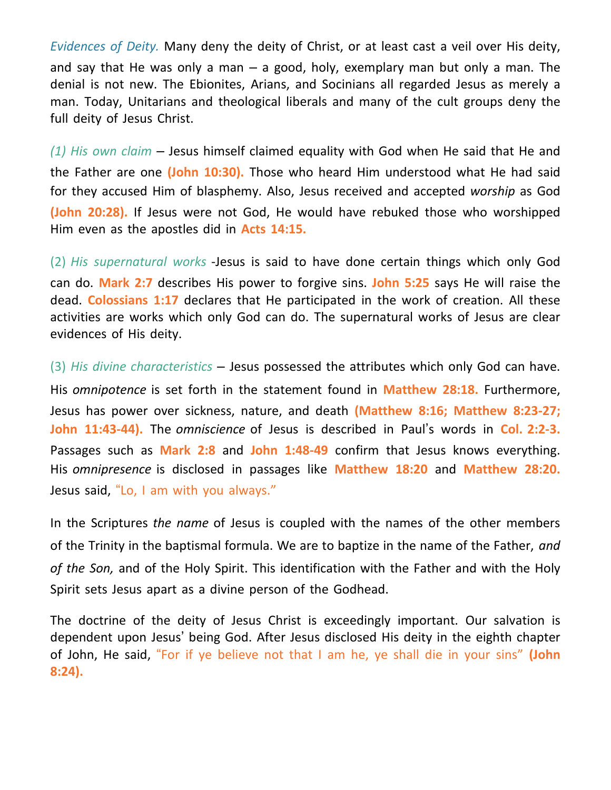*Evidences of Deity.* Many deny the deity of Christ, or at least cast a veil over His deity, and say that He was only a man  $-$  a good, holy, exemplary man but only a man. The denial is not new. The Ebionites, Arians, and Socinians all regarded Jesus as merely a man. Today, Unitarians and theological liberals and many of the cult groups deny the full deity of Jesus Christ.

*(1) His own claim –* Jesus himself claimed equality with God when He said that He and the Father are one **(John 10:30).** Those who heard Him understood what He had said for they accused Him of blasphemy. Also, Jesus received and accepted *worship* as God **(John 20:28).** If Jesus were not God, He would have rebuked those who worshipped Him even as the apostles did in **Acts 14:15.**

(2) *His supernatural works* -Jesus is said to have done certain things which only God can do. **Mark 2:7** describes His power to forgive sins. **John 5:25** says He will raise the dead. **Colossians 1:17** declares that He participated in the work of creation. All these activities are works which only God can do. The supernatural works of Jesus are clear evidences of His deity.

(3) *His divine characteristics –* Jesus possessed the attributes which only God can have. His *omnipotence* is set forth in the statement found in **Matthew 28:18.** Furthermore, Jesus has power over sickness, nature, and death **(Matthew 8:16; Matthew 8:23-27; John 11:43-44).** The *omniscience* of Jesus is described in Paul's words in **Col. 2:2-3.** Passages such as **Mark 2:8** and **John 1:48-49** confirm that Jesus knows everything. His *omnipresence* is disclosed in passages like **Matthew 18:20** and **Matthew 28:20.** Jesus said, "Lo, I am with you always."

In the Scriptures *the name* of Jesus is coupled with the names of the other members of the Trinity in the baptismal formula. We are to baptize in the name of the Father, *and of the Son,* and of the Holy Spirit. This identification with the Father and with the Holy Spirit sets Jesus apart as a divine person of the Godhead.

The doctrine of the deity of Jesus Christ is exceedingly important. Our salvation is dependent upon Jesus' being God. After Jesus disclosed His deity in the eighth chapter of John, He said, "For if ye believe not that I am he, ye shall die in your sins" **(John 8:24).**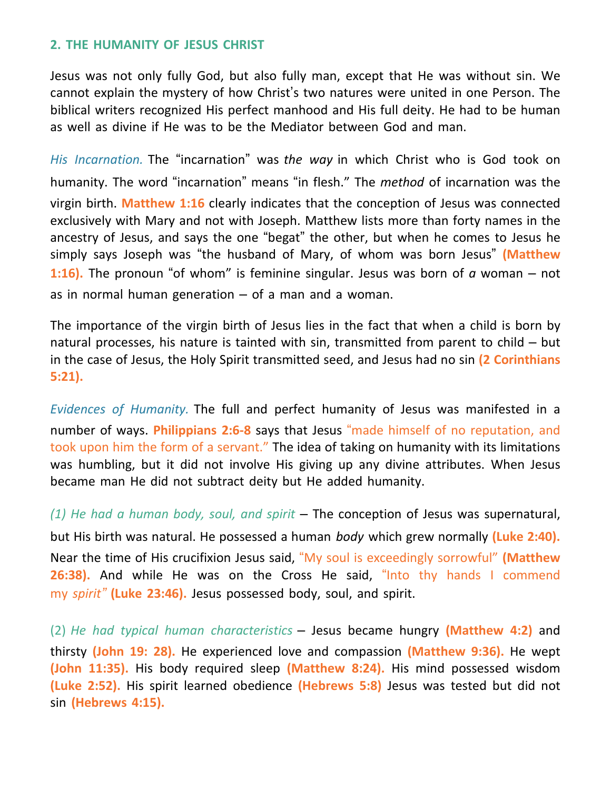### **2. THE HUMANITY OF JESUS CHRIST**

Jesus was not only fully God, but also fully man, except that He was without sin. We cannot explain the mystery of how Christ's two natures were united in one Person. The biblical writers recognized His perfect manhood and His full deity. He had to be human as well as divine if He was to be the Mediator between God and man.

*His Incarnation.* The "incarnation" was *the way* in which Christ who is God took on humanity. The word "incarnation" means "in flesh." The *method* of incarnation was the virgin birth. **Matthew 1:16** clearly indicates that the conception of Jesus was connected exclusively with Mary and not with Joseph. Matthew lists more than forty names in the ancestry of Jesus, and says the one "begat" the other, but when he comes to Jesus he simply says Joseph was "the husband of Mary, of whom was born Jesus" **(Matthew 1:16).** The pronoun "of whom" is feminine singular. Jesus was born of *a* woman – not as in normal human generation  $-$  of a man and a woman.

The importance of the virgin birth of Jesus lies in the fact that when a child is born by natural processes, his nature is tainted with sin, transmitted from parent to child – but in the case of Jesus, the Holy Spirit transmitted seed, and Jesus had no sin **(2 Corinthians 5:21).**

*Evidences of Humanity.* The full and perfect humanity of Jesus was manifested in a number of ways. **Philippians 2:6-8** says that Jesus "made himself of no reputation, and took upon him the form of a servant." The idea of taking on humanity with its limitations was humbling, but it did not involve His giving up any divine attributes. When Jesus became man He did not subtract deity but He added humanity.

*(1) He had a human body, soul, and spirit* – The conception of Jesus was supernatural, but His birth was natural. He possessed a human *body* which grew normally **(Luke 2:40).** Near the time of His crucifixion Jesus said, "My soul is exceedingly sorrowful" **(Matthew 26:38).** And while He was on the Cross He said, "Into thy hands I commend my *spirit"* **(Luke 23:46).** Jesus possessed body, soul, and spirit.

(2) *He had typical human characteristics* – Jesus became hungry **(Matthew 4:2)** and thirsty **(John 19: 28).** He experienced love and compassion **(Matthew 9:36).** He wept **(John 11:35).** His body required sleep **(Matthew 8:24).** His mind possessed wisdom **(Luke 2:52).** His spirit learned obedience **(Hebrews 5:8)** Jesus was tested but did not sin **(Hebrews 4:15).**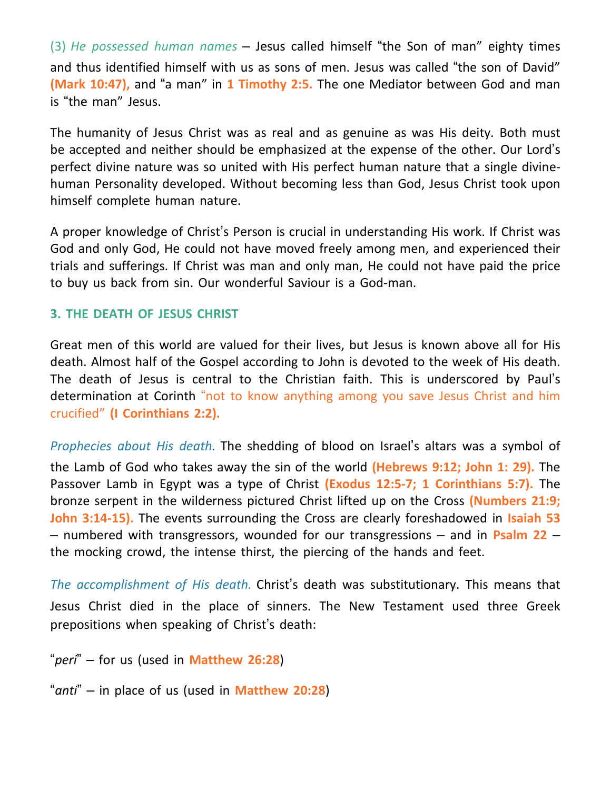(3) *He possessed human names* – Jesus called himself "the Son of man" eighty times and thus identified himself with us as sons of men. Jesus was called "the son of David" **(Mark 10:47),** and "a man" in **1 Timothy 2:5.** The one Mediator between God and man is "the man" Jesus.

The humanity of Jesus Christ was as real and as genuine as was His deity. Both must be accepted and neither should be emphasized at the expense of the other. Our Lord's perfect divine nature was so united with His perfect human nature that a single divinehuman Personality developed. Without becoming less than God, Jesus Christ took upon himself complete human nature.

A proper knowledge of Christ's Person is crucial in understanding His work. If Christ was God and only God, He could not have moved freely among men, and experienced their trials and sufferings. If Christ was man and only man, He could not have paid the price to buy us back from sin. Our wonderful Saviour is a God-man.

# **3. THE DEATH OF JESUS CHRIST**

Great men of this world are valued for their lives, but Jesus is known above all for His death. Almost half of the Gospel according to John is devoted to the week of His death. The death of Jesus is central to the Christian faith. This is underscored by Paul's determination at Corinth "not to know anything among you save Jesus Christ and him crucified" **(I Corinthians 2:2).**

*Prophecies about His death.* The shedding of blood on Israel's altars was a symbol of the Lamb of God who takes away the sin of the world **(Hebrews 9:12; John 1: 29).** The Passover Lamb in Egypt was a type of Christ **(Exodus 12:5-7; 1 Corinthians 5:7).** The bronze serpent in the wilderness pictured Christ lifted up on the Cross **(Numbers 21:9; John 3:14-15).** The events surrounding the Cross are clearly foreshadowed in **Isaiah 53** – numbered with transgressors, wounded for our transgressions – and in **Psalm 22** – the mocking crowd, the intense thirst, the piercing of the hands and feet.

*The accomplishment of His death.* Christ's death was substitutionary. This means that Jesus Christ died in the place of sinners. The New Testament used three Greek prepositions when speaking of Christ's death:

"*peri*" – for us (used in **Matthew 26:28**)

"*anti*" – in place of us (used in **Matthew 20:28**)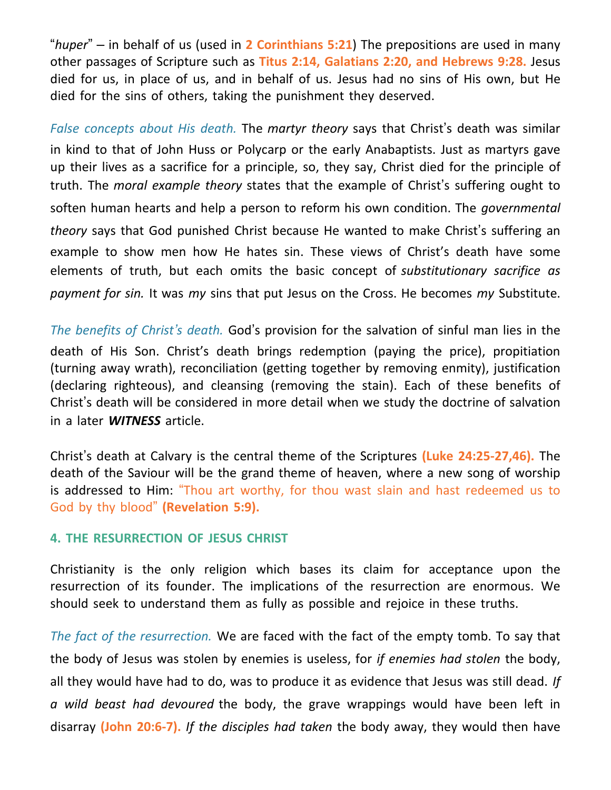"*huper*" – in behalf of us (used in **2 Corinthians 5:21**) The prepositions are used in many other passages of Scripture such as **Titus 2:14, Galatians 2:20, and Hebrews 9:28.** Jesus died for us, in place of us, and in behalf of us. Jesus had no sins of His own, but He died for the sins of others, taking the punishment they deserved.

*False concepts about His death.* The *martyr theory* says that Christ's death was similar in kind to that of John Huss or Polycarp or the early Anabaptists. Just as martyrs gave up their lives as a sacrifice for a principle, so, they say, Christ died for the principle of truth. The *moral example theory* states that the example of Christ's suffering ought to soften human hearts and help a person to reform his own condition. The *governmental theory* says that God punished Christ because He wanted to make Christ's suffering an example to show men how He hates sin. These views of Christ's death have some elements of truth, but each omits the basic concept of *substitutionary sacrifice as payment for sin.* It was *my* sins that put Jesus on the Cross. He becomes *my* Substitute.

*The benefits of Christ's death.* God's provision for the salvation of sinful man lies in the death of His Son. Christ's death brings redemption (paying the price), propitiation (turning away wrath), reconciliation (getting together by removing enmity), justification (declaring righteous), and cleansing (removing the stain). Each of these benefits of Christ's death will be considered in more detail when we study the doctrine of salvation in a later *WITNESS* article.

Christ's death at Calvary is the central theme of the Scriptures **(Luke 24:25-27,46).** The death of the Saviour will be the grand theme of heaven, where a new song of worship is addressed to Him: "Thou art worthy, for thou wast slain and hast redeemed us to God by thy blood" **(Revelation 5:9).**

#### **4. THE RESURRECTION OF JESUS CHRIST**

Christianity is the only religion which bases its claim for acceptance upon the resurrection of its founder. The implications of the resurrection are enormous. We should seek to understand them as fully as possible and rejoice in these truths.

*The fact of the resurrection.* We are faced with the fact of the empty tomb. To say that the body of Jesus was stolen by enemies is useless, for *if enemies had stolen* the body, all they would have had to do, was to produce it as evidence that Jesus was still dead. *If a wild beast had devoured* the body, the grave wrappings would have been left in disarray **(John 20:6-7).** *If the disciples had taken* the body away, they would then have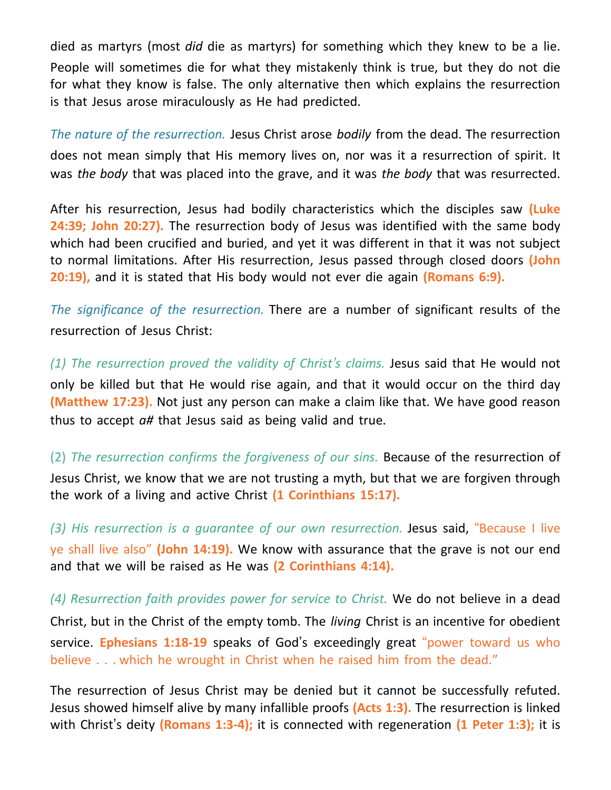died as martyrs (most *did* die as martyrs) for something which they knew to be a lie. People will sometimes die for what they mistakenly think is true, but they do not die for what they know is false. The only alternative then which explains the resurrection is that Jesus arose miraculously as He had predicted.

*The nature of the resurrection.* Jesus Christ arose *bodily* from the dead. The resurrection does not mean simply that His memory lives on, nor was it a resurrection of spirit. It was *the body* that was placed into the grave, and it was *the body* that was resurrected.

After his resurrection, Jesus had bodily characteristics which the disciples saw **(Luke 24:39; John 20:27).** The resurrection body of Jesus was identified with the same body which had been crucified and buried, and yet it was different in that it was not subject to normal limitations. After His resurrection, Jesus passed through closed doors **(John 20:19),** and it is stated that His body would not ever die again **(Romans 6:9).**

*The significance of the resurrection.* There are a number of significant results of the resurrection of Jesus Christ:

*(1) The resurrection proved the validity of Christ's claims.* Jesus said that He would not only be killed but that He would rise again, and that it would occur on the third day **(Matthew 17:23).** Not just any person can make a claim like that. We have good reason thus to accept *a#* that Jesus said as being valid and true.

(2) *The resurrection confirms the forgiveness of our sins.* Because of the resurrection of Jesus Christ, we know that we are not trusting a myth, but that we are forgiven through the work of a living and active Christ **(1 Corinthians 15:17).**

*(3) His resurrection is a guarantee of our own resurrection.* Jesus said, "Because I live ye shall live also" **(John 14:19).** We know with assurance that the grave is not our end and that we will be raised as He was **(2 Corinthians 4:14).**

*(4) Resurrection faith provides power for service to Christ.* We do not believe in a dead Christ, but in the Christ of the empty tomb. The *living* Christ is an incentive for obedient service. **Ephesians 1:18-19** speaks of God's exceedingly great "power toward us who believe . . . which he wrought in Christ when he raised him from the dead."

The resurrection of Jesus Christ may be denied but it cannot be successfully refuted. Jesus showed himself alive by many infallible proofs **(Acts 1:3).** The resurrection is linked with Christ's deity **(Romans 1:3-4);** it is connected with regeneration **(1 Peter 1:3);** it is